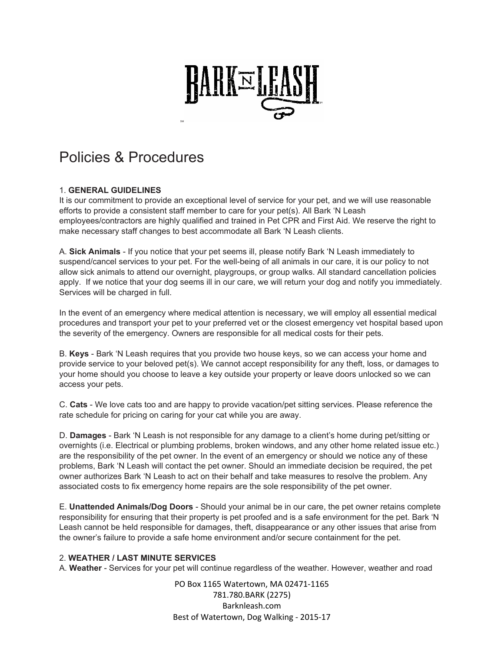

# Policies & Procedures

## 1. **GENERAL GUIDELINES**

It is our commitment to provide an exceptional level of service for your pet, and we will use reasonable efforts to provide a consistent staff member to care for your pet(s). All Bark 'N Leash employees/contractors are highly qualified and trained in Pet CPR and First Aid. We reserve the right to make necessary staff changes to best accommodate all Bark 'N Leash clients.

A. **Sick Animals** - If you notice that your pet seems ill, please notify Bark 'N Leash immediately to suspend/cancel services to your pet. For the well-being of all animals in our care, it is our policy to not allow sick animals to attend our overnight, playgroups, or group walks. All standard cancellation policies apply. If we notice that your dog seems ill in our care, we will return your dog and notify you immediately. Services will be charged in full.

In the event of an emergency where medical attention is necessary, we will employ all essential medical procedures and transport your pet to your preferred vet or the closest emergency vet hospital based upon the severity of the emergency. Owners are responsible for all medical costs for their pets.

B. **Keys** - Bark 'N Leash requires that you provide two house keys, so we can access your home and provide service to your beloved pet(s). We cannot accept responsibility for any theft, loss, or damages to your home should you choose to leave a key outside your property or leave doors unlocked so we can access your pets.

C. **Cats** - We love cats too and are happy to provide vacation/pet sitting services. Please reference the rate schedule for pricing on caring for your cat while you are away.

D. **Damages** - Bark 'N Leash is not responsible for any damage to a client's home during pet/sitting or overnights (i.e. Electrical or plumbing problems, broken windows, and any other home related issue etc.) are the responsibility of the pet owner. In the event of an emergency or should we notice any of these problems, Bark 'N Leash will contact the pet owner. Should an immediate decision be required, the pet owner authorizes Bark 'N Leash to act on their behalf and take measures to resolve the problem. Any associated costs to fix emergency home repairs are the sole responsibility of the pet owner.

E. **Unattended Animals/Dog Doors** - Should your animal be in our care, the pet owner retains complete responsibility for ensuring that their property is pet proofed and is a safe environment for the pet. Bark 'N Leash cannot be held responsible for damages, theft, disappearance or any other issues that arise from the owner's failure to provide a safe home environment and/or secure containment for the pet.

## 2. **WEATHER / LAST MINUTE SERVICES**

A. **Weather** - Services for your pet will continue regardless of the weather. However, weather and road

PO Box 1165 Watertown, MA 02471‐1165 781.780.BARK (2275) Barknleash.com Best of Watertown, Dog Walking ‐ 2015‐17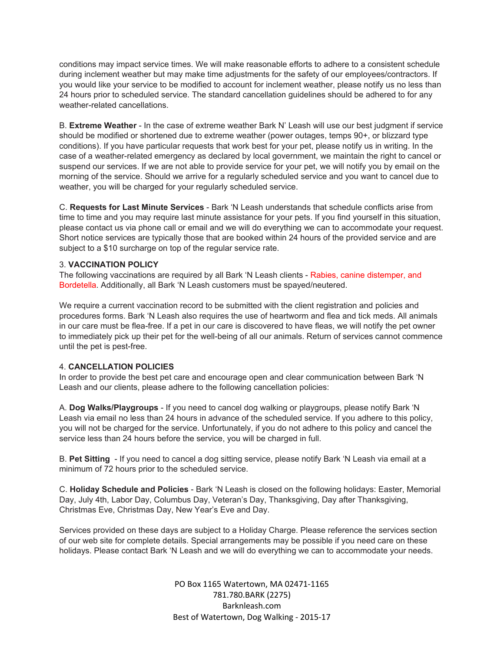conditions may impact service times. We will make reasonable efforts to adhere to a consistent schedule during inclement weather but may make time adjustments for the safety of our employees/contractors. If you would like your service to be modified to account for inclement weather, please notify us no less than 24 hours prior to scheduled service. The standard cancellation guidelines should be adhered to for any weather-related cancellations.

B. **Extreme Weather** - In the case of extreme weather Bark N' Leash will use our best judgment if service should be modified or shortened due to extreme weather (power outages, temps 90+, or blizzard type conditions). If you have particular requests that work best for your pet, please notify us in writing. In the case of a weather-related emergency as declared by local government, we maintain the right to cancel or suspend our services. If we are not able to provide service for your pet, we will notify you by email on the morning of the service. Should we arrive for a regularly scheduled service and you want to cancel due to weather, you will be charged for your regularly scheduled service.

C. **Requests for Last Minute Services** - Bark 'N Leash understands that schedule conflicts arise from time to time and you may require last minute assistance for your pets. If you find yourself in this situation, please contact us via phone call or email and we will do everything we can to accommodate your request. Short notice services are typically those that are booked within 24 hours of the provided service and are subject to a \$10 surcharge on top of the regular service rate.

#### 3. **VACCINATION POLICY**

The following vaccinations are required by all Bark 'N Leash clients - Rabies, canine distemper, and Bordetella. Additionally, all Bark 'N Leash customers must be spayed/neutered.

We require a current vaccination record to be submitted with the client registration and policies and procedures forms. Bark 'N Leash also requires the use of heartworm and flea and tick meds. All animals in our care must be flea-free. If a pet in our care is discovered to have fleas, we will notify the pet owner to immediately pick up their pet for the well-being of all our animals. Return of services cannot commence until the pet is pest-free.

## 4. **CANCELLATION POLICIES**

In order to provide the best pet care and encourage open and clear communication between Bark 'N Leash and our clients, please adhere to the following cancellation policies:

A. **Dog Walks/Playgroups** - If you need to cancel dog walking or playgroups, please notify Bark 'N Leash via email no less than 24 hours in advance of the scheduled service. If you adhere to this policy, you will not be charged for the service. Unfortunately, if you do not adhere to this policy and cancel the service less than 24 hours before the service, you will be charged in full.

B. **Pet Sitting** - If you need to cancel a dog sitting service, please notify Bark 'N Leash via email at a minimum of 72 hours prior to the scheduled service.

C. **Holiday Schedule and Policies** - Bark 'N Leash is closed on the following holidays: Easter, Memorial Day, July 4th, Labor Day, Columbus Day, Veteran's Day, Thanksgiving, Day after Thanksgiving, Christmas Eve, Christmas Day, New Year's Eve and Day.

Services provided on these days are subject to a Holiday Charge. Please reference the services section of our web site for complete details. Special arrangements may be possible if you need care on these holidays. Please contact Bark 'N Leash and we will do everything we can to accommodate your needs.

> PO Box 1165 Watertown, MA 02471‐1165 781.780.BARK (2275) Barknleash.com Best of Watertown, Dog Walking ‐ 2015‐17